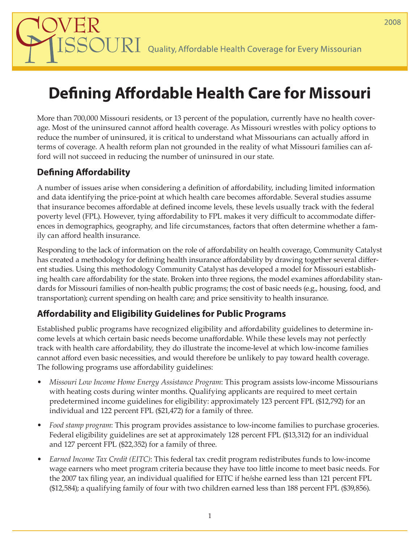$\operatorname{\mathsf{JURI}}\nolimits$  Quality, Affordable Health Coverage for Every Missourian

# **Defining Affordable Health Care for Missouri**

More than 700,000 Missouri residents, or 13 percent of the population, currently have no health coverage. Most of the uninsured cannot afford health coverage. As Missouri wrestles with policy options to reduce the number of uninsured, it is critical to understand what Missourians can actually afford in terms of coverage. A health reform plan not grounded in the reality of what Missouri families can afford will not succeed in reducing the number of uninsured in our state.

## **Defining Affordability**

A number of issues arise when considering a definition of affordability, including limited information and data identifying the price-point at which health care becomes affordable. Several studies assume that insurance becomes affordable at defined income levels, these levels usually track with the federal poverty level (FPL). However, tying affordability to FPL makes it very difficult to accommodate differences in demographics, geography, and life circumstances, factors that often determine whether a family can afford health insurance.

Responding to the lack of information on the role of affordability on health coverage, Community Catalyst has created a methodology for defining health insurance affordability by drawing together several different studies. Using this methodology Community Catalyst has developed a model for Missouri establishing health care affordability for the state. Broken into three regions, the model examines affordability standards for Missouri families of non-health public programs; the cost of basic needs (e.g., housing, food, and transportation); current spending on health care; and price sensitivity to health insurance.

### **Affordability and Eligibility Guidelines for Public Programs**

Established public programs have recognized eligibility and affordability guidelines to determine income levels at which certain basic needs become unaffordable. While these levels may not perfectly track with health care affordability, they do illustrate the income-level at which low-income families cannot afford even basic necessities, and would therefore be unlikely to pay toward health coverage. The following programs use affordability guidelines:

- *Missouri Low Income Home Energy Assistance Program*: This program assists low-income Missourians with heating costs during winter months. Qualifying applicants are required to meet certain predetermined income guidelines for eligibility: approximately 123 percent FPL (\$12,792) for an individual and 122 percent FPL (\$21,472) for a family of three.
- *Food stamp program*: This program provides assistance to low-income families to purchase groceries. Federal eligibility guidelines are set at approximately 128 percent FPL (\$13,312) for an individual and 127 percent FPL (\$22,352) for a family of three.
- *Earned Income Tax Credit (EITC)*: This federal tax credit program redistributes funds to low-income wage earners who meet program criteria because they have too little income to meet basic needs. For the 2007 tax filing year, an individual qualified for EITC if he/she earned less than 121 percent FPL (\$12,584); a qualifying family of four with two children earned less than 188 percent FPL (\$39,856).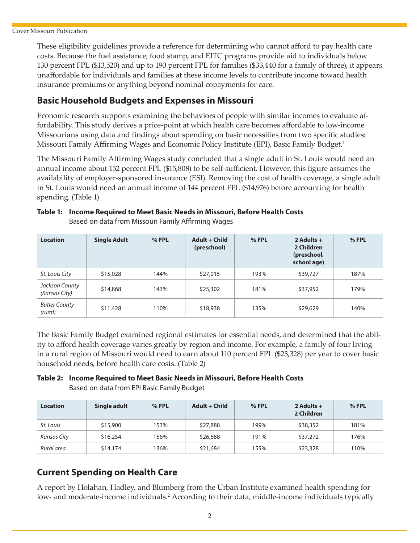These eligibility guidelines provide a reference for determining who cannot afford to pay health care costs. Because the fuel assistance, food stamp, and EITC programs provide aid to individuals below 130 percent FPL (\$13,520) and up to 190 percent FPL for families (\$33,440 for a family of three), it appears unaffordable for individuals and families at these income levels to contribute income toward health insurance premiums or anything beyond nominal copayments for care.

#### **Basic Household Budgets and Expenses in Missouri**

Economic research supports examining the behaviors of people with similar incomes to evaluate affordability. This study derives a price-point at which health care becomes affordable to low-income Missourians using data and findings about spending on basic necessities from two specific studies: Missouri Family Affirming Wages and Economic Policy Institute (EPI), Basic Family Budget.<sup>1</sup>

The Missouri Family Affirming Wages study concluded that a single adult in St. Louis would need an annual income about 152 percent FPL (\$15,808) to be self-sufficient. However, this figure assumes the availability of employer-sponsored insurance (ESI). Removing the cost of health coverage, a single adult in St. Louis would need an annual income of 144 percent FPL (\$14,976) before accounting for health spending. (Table 1)

| <b>Location</b>                 | <b>Single Adult</b> | $%$ FPL | Adult + Child<br>(preschool) | $%$ FPL | 2 Adults $+$<br>2 Children<br>(preschool,<br>school age) | % FPL |
|---------------------------------|---------------------|---------|------------------------------|---------|----------------------------------------------------------|-------|
| St. Louis City                  | \$15,028            | 144%    | \$27,015                     | 193%    | \$39,727                                                 | 187%  |
| Jackson County<br>(Kansas City) | \$14,868            | 143%    | \$25,302                     | 181%    | \$37,952                                                 | 179%  |
| <b>Butler County</b><br>(rural) | \$11,428            | 110%    | \$18,938                     | 135%    | \$29,629                                                 | 140%  |

**Table 1: Income Required to Meet Basic Needs in Missouri, Before Health Costs** Based on data from Missouri Family Affirming Wages

The Basic Family Budget examined regional estimates for essential needs, and determined that the ability to afford health coverage varies greatly by region and income. For example, a family of four living in a rural region of Missouri would need to earn about 110 percent FPL (\$23,328) per year to cover basic household needs, before health care costs. (Table 2)

#### **Table 2: Income Required to Meet Basic Needs in Missouri, Before Health Costs** Based on data from EPI Basic Family Budget

| <b>Location</b> | Single adult | % FPL | Adult + Child | $%$ FPL | 2 Adults $+$<br>2 Children | $%$ FPL |
|-----------------|--------------|-------|---------------|---------|----------------------------|---------|
| St. Louis       | \$15,900     | 153%  | \$27,888      | 199%    | \$38,352                   | 181%    |
| Kansas City     | \$16,254     | 156%  | \$26,688      | 191%    | \$37,272                   | 176%    |
| Rural area      | \$14,174     | 136%  | \$21,684      | 155%    | \$23,328                   | 110%    |

### **Current Spending on Health Care**

A report by Holahan, Hadley, and Blumberg from the Urban Institute examined health spending for low- and moderate-income individuals.<sup>2</sup> According to their data, middle-income individuals typically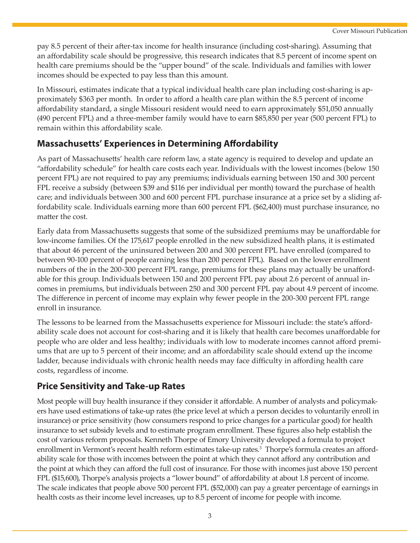pay 8.5 percent of their after-tax income for health insurance (including cost-sharing). Assuming that an affordability scale should be progressive, this research indicates that 8.5 percent of income spent on health care premiums should be the "upper bound" of the scale. Individuals and families with lower incomes should be expected to pay less than this amount.

In Missouri, estimates indicate that a typical individual health care plan including cost-sharing is approximately \$363 per month. In order to afford a health care plan within the 8.5 percent of income affordability standard, a single Missouri resident would need to earn approximately \$51,050 annually (490 percent FPL) and a three-member family would have to earn \$85,850 per year (500 percent FPL) to remain within this affordability scale.

#### **Massachusetts' Experiences in Determining Affordability**

As part of Massachusetts' health care reform law, a state agency is required to develop and update an "affordability schedule" for health care costs each year. Individuals with the lowest incomes (below 150 percent FPL) are not required to pay any premiums; individuals earning between 150 and 300 percent FPL receive a subsidy (between \$39 and \$116 per individual per month) toward the purchase of health care; and individuals between 300 and 600 percent FPL purchase insurance at a price set by a sliding affordability scale. Individuals earning more than 600 percent FPL (\$62,400) must purchase insurance, no matter the cost.

Early data from Massachusetts suggests that some of the subsidized premiums may be unaffordable for low-income families. Of the 175,617 people enrolled in the new subsidized health plans, it is estimated that about 46 percent of the uninsured between 200 and 300 percent FPL have enrolled (compared to between 90-100 percent of people earning less than 200 percent FPL). Based on the lower enrollment numbers of the in the 200-300 percent FPL range, premiums for these plans may actually be unaffordable for this group. Individuals between 150 and 200 percent FPL pay about 2.6 percent of annual incomes in premiums, but individuals between 250 and 300 percent FPL pay about 4.9 percent of income. The difference in percent of income may explain why fewer people in the 200-300 percent FPL range enroll in insurance.

The lessons to be learned from the Massachusetts experience for Missouri include: the state's affordability scale does not account for cost-sharing and it is likely that health care becomes unaffordable for people who are older and less healthy; individuals with low to moderate incomes cannot afford premiums that are up to 5 percent of their income; and an affordability scale should extend up the income ladder, because individuals with chronic health needs may face difficulty in affording health care costs, regardless of income.

#### **Price Sensitivity and Take-up Rates**

Most people will buy health insurance if they consider it affordable. A number of analysts and policymakers have used estimations of take-up rates (the price level at which a person decides to voluntarily enroll in insurance) or price sensitivity (how consumers respond to price changes for a particular good) for health insurance to set subsidy levels and to estimate program enrollment. These figures also help establish the cost of various reform proposals. Kenneth Thorpe of Emory University developed a formula to project enrollment in Vermont's recent health reform estimates take-up rates.<sup>3</sup> Thorpe's formula creates an affordability scale for those with incomes between the point at which they cannot afford any contribution and the point at which they can afford the full cost of insurance. For those with incomes just above 150 percent FPL (\$15,600), Thorpe's analysis projects a "lower bound" of affordability at about 1.8 percent of income. The scale indicates that people above 500 percent FPL (\$52,000) can pay a greater percentage of earnings in health costs as their income level increases, up to 8.5 percent of income for people with income.